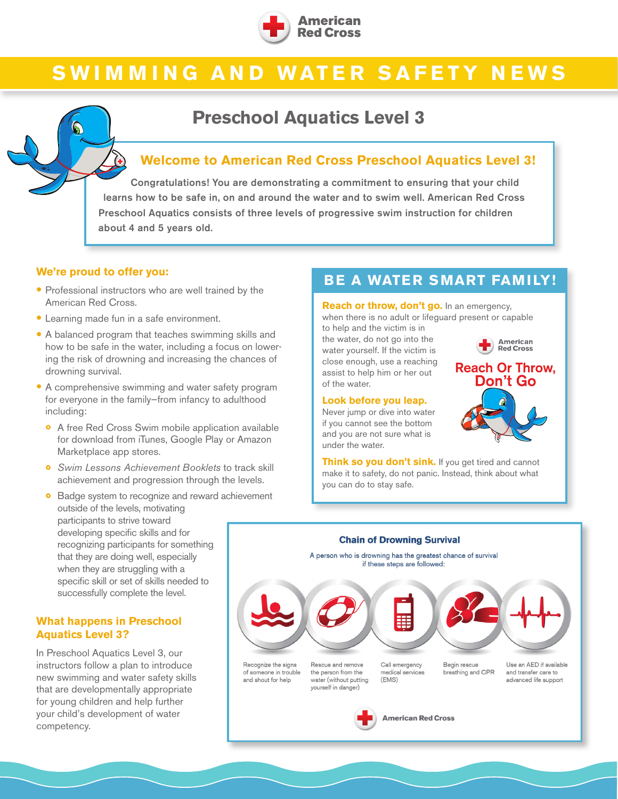

# **SWIMMING AND WATER SAFETY NEWS**

# **Preschool Aquatics Level 3**



Congratulations! You are demonstrating a commitment to ensuring that your child learns how to be safe in, on and around the water and to swim well. American Red Cross Preschool Aquatics consists of three levels of progressive swim instruction for children about 4 and 5 years old.

#### **We're proud to offer you:**

- Professional instructors who are well trained by the American Red Cross.
- Learning made fun in a safe environment.
- A balanced program that teaches swimming skills and how to be safe in the water, including a focus on lowering the risk of drowning and increasing the chances of drowning survival.
- A comprehensive swimming and water safety program for everyone in the family—from infancy to adulthood including:
	- ◦<sup>A</sup> free Red Cross Swim mobile application available for download from iTunes, Google Play or Amazon Marketplace app stores.
	- *Swim Lessons Achievement Booklets* to track skill achievement and progression through the levels.
	- ◦ Badge system to recognize and reward achievement outside of the levels, motivating participants to strive toward developing specific skills and for recognizing participants for something that they are doing well, especially when they are struggling with a specific skill or set of skills needed to successfully complete the level.

#### **What happens in Preschool Aquatics Level 3?**

In Preschool Aquatics Level 3, our instructors follow a plan to introduce new swimming and water safety skills that are developmentally appropriate for young children and help further your child's development of water competency.

# **BE A WATER SMART FAMILY!**

**Reach or throw, don't go.** In an emergency, when there is no adult or lifeguard present or capable to help and the victim is in

the water, do not go into the water yourself. If the victim is close enough, use a reaching assist to help him or her out of the water.

#### **Look before you leap.**

Never jump or dive into water if you cannot see the bottom and you are not sure what is under the water.

**Red Cross Reach Or Throw. Don't Go** 

**American** 

**Think so you don't sink.** If you get tired and cannot make it to safety, do not panic. Instead, think about what you can do to stay safe.